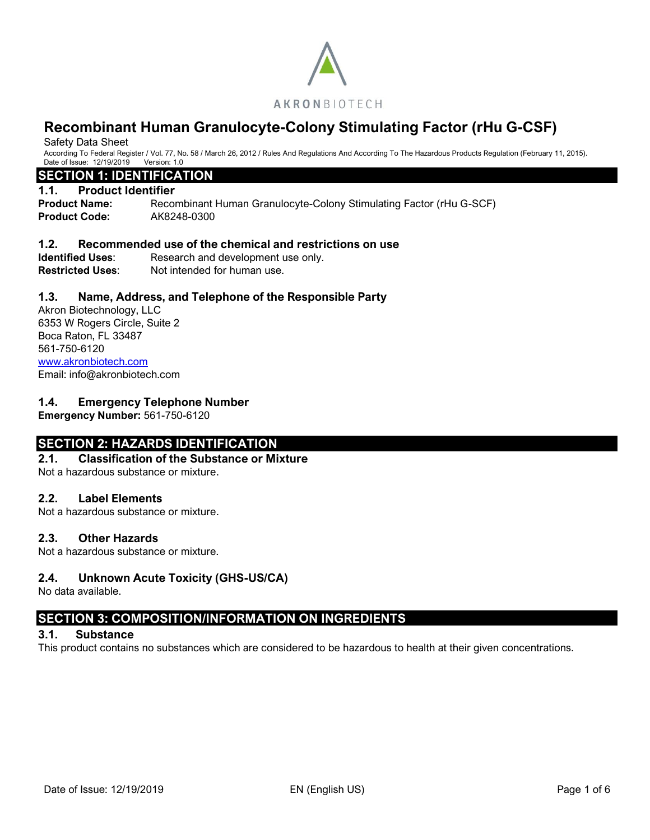

Safety Data Sheet

According To Federal Register / Vol. 77, No. 58 / March 26, 2012 / Rules And Regulations And According To The Hazardous Products Regulation (February 11, 2015). Date of Issue: 12/19/2019 Version: 1.0

# **SECTION 1: IDENTIFICATION**

#### **1.1. Product Identifier**

**Product Name:** Recombinant Human Granulocyte-Colony Stimulating Factor (rHu G-SCF) **Product Code:** AK8248-0300

### **1.2. Recommended use of the chemical and restrictions on use**

**Identified Uses:** Research and development use only.<br>**Restricted Uses:** Not intended for human use. Not intended for human use.

# **1.3. Name, Address, and Telephone of the Responsible Party**

Akron Biotechnology, LLC 6353 W Rogers Circle, Suite 2 Boca Raton, FL 33487 561-750-6120 [www.akronbiotech.com](http://www.akronbiotech.com/%3c/a) Email: info@akronbiotech.com

# **1.4. Emergency Telephone Number**

**Emergency Number:** 561-750-6120

# **SECTION 2: HAZARDS IDENTIFICATION**

#### **2.1. Classification of the Substance or Mixture**

Not a hazardous substance or mixture.

### **2.2. Label Elements**

Not a hazardous substance or mixture.

#### **2.3. Other Hazards**

Not a hazardous substance or mixture.

# **2.4. Unknown Acute Toxicity (GHS-US/CA)**

No data available.

# **SECTION 3: COMPOSITION/INFORMATION ON INGREDIENTS**

#### **3.1. Substance**

This product contains no substances which are considered to be hazardous to health at their given concentrations.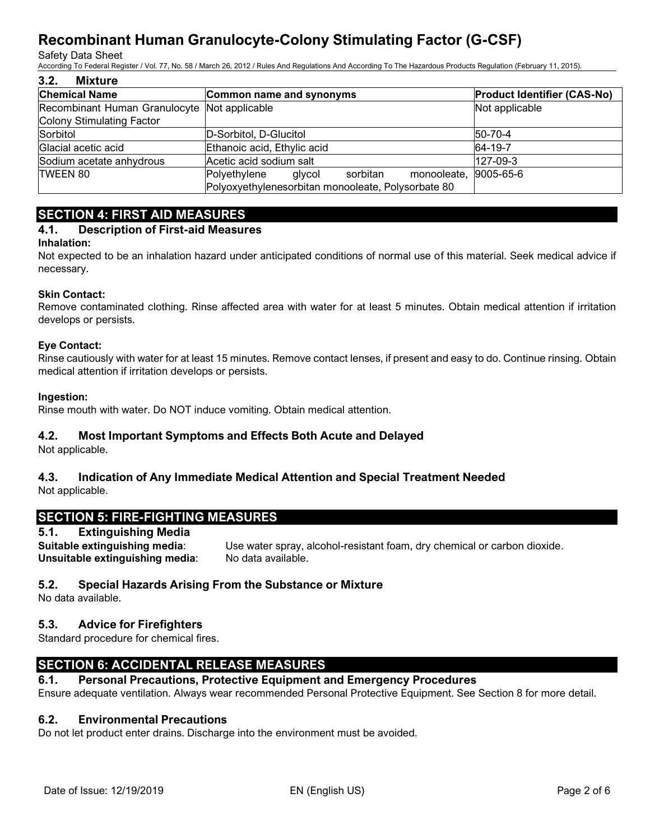#### Safety Data Sheet

According To Federal Register / Vol. 77, No. 58 / March 26, 2012 / Rules And Regulations And According To The Hazardous Products Regulation (February 11, 2015).

| 3.2.<br>Mixture                              |                                                             |                                    |
|----------------------------------------------|-------------------------------------------------------------|------------------------------------|
| <b>Chemical Name</b>                         | Common name and synonyms                                    | <b>Product Identifier (CAS-No)</b> |
| Recombinant Human Granulocyte Not applicable |                                                             | Not applicable                     |
| Colony Stimulating Factor                    |                                                             |                                    |
| Sorbitol                                     | D-Sorbitol, D-Glucitol                                      | $ 50-70-4 $                        |
| Glacial acetic acid                          | Ethanoic acid, Ethylic acid                                 | 64-19-7                            |
| Sodium acetate anhydrous                     | Acetic acid sodium salt                                     | $127-09-3$                         |
| <b>TWEEN 80</b>                              | monooleate, 9005-65-6<br>Polyethylene<br>sorbitan<br>glycol |                                    |
|                                              | Polyoxyethylenesorbitan monooleate, Polysorbate 80          |                                    |

# **SECTION 4: FIRST AID MEASURES**

# **4.1. Description of First-aid Measures**

# **Inhalation:**

Not expected to be an inhalation hazard under anticipated conditions of normal use of this material. Seek medical advice if necessary.

# **Skin Contact:**

Remove contaminated clothing. Rinse affected area with water for at least 5 minutes. Obtain medical attention if irritation develops or persists.

### **Eye Contact:**

Rinse cautiously with water for at least 15 minutes. Remove contact lenses, if present and easy to do. Continue rinsing. Obtain medical attention if irritation develops or persists.

### **Ingestion:**

Rinse mouth with water. Do NOT induce vomiting. Obtain medical attention.

# **4.2. Most Important Symptoms and Effects Both Acute and Delayed**

Not applicable.

# **4.3. Indication of Any Immediate Medical Attention and Special Treatment Needed** Not applicable.

# **SECTION 5: FIRE-FIGHTING MEASURES**

# **5.1. Extinguishing Media**

**Suitable extinguishing media**: Use water spray, alcohol-resistant foam, dry chemical or carbon dioxide. **Unsuitable extinguishing media:** No data available.

# **5.2. Special Hazards Arising From the Substance or Mixture**

No data available.

# **5.3. Advice for Firefighters**

Standard procedure for chemical fires.

# **SECTION 6: ACCIDENTAL RELEASE MEASURES**

# **6.1. Personal Precautions, Protective Equipment and Emergency Procedures**

Ensure adequate ventilation. Always wear recommended Personal Protective Equipment. See Section 8 for more detail.

# **6.2. Environmental Precautions**

Do not let product enter drains. Discharge into the environment must be avoided.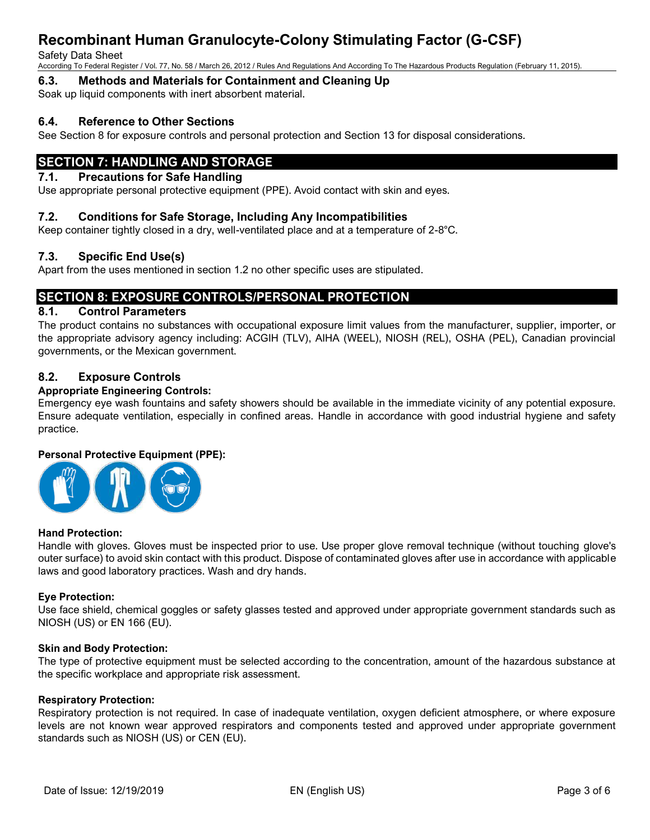#### Safety Data Sheet

According To Federal Register / Vol. 77, No. 58 / March 26, 2012 / Rules And Regulations And According To The Hazardous Products Regulation (February 11, 2015).

# **6.3. Methods and Materials for Containment and Cleaning Up**

Soak up liquid components with inert absorbent material.

# **6.4. Reference to Other Sections**

See Section 8 for exposure controls and personal protection and Section 13 for disposal considerations.

# **SECTION 7: HANDLING AND STORAGE**

# **7.1. Precautions for Safe Handling**

Use appropriate personal protective equipment (PPE). Avoid contact with skin and eyes.

### **7.2. Conditions for Safe Storage, Including Any Incompatibilities**

Keep container tightly closed in a dry, well-ventilated place and at a temperature of 2-8°C.

# **7.3. Specific End Use(s)**

Apart from the uses mentioned in section 1.2 no other specific uses are stipulated.

# **SECTION 8: EXPOSURE CONTROLS/PERSONAL PROTECTION**

#### **8.1. Control Parameters**

The product contains no substances with occupational exposure limit values from the manufacturer, supplier, importer, or the appropriate advisory agency including: ACGIH (TLV), AIHA (WEEL), NIOSH (REL), OSHA (PEL), Canadian provincial governments, or the Mexican government.

# **8.2. Exposure Controls**

#### **Appropriate Engineering Controls:**

Emergency eye wash fountains and safety showers should be available in the immediate vicinity of any potential exposure. Ensure adequate ventilation, especially in confined areas. Handle in accordance with good industrial hygiene and safety practice.

#### **Personal Protective Equipment (PPE):**



#### **Hand Protection:**

Handle with gloves. Gloves must be inspected prior to use. Use proper glove removal technique (without touching glove's outer surface) to avoid skin contact with this product. Dispose of contaminated gloves after use in accordance with applicable laws and good laboratory practices. Wash and dry hands.

#### **Eye Protection:**

Use face shield, chemical goggles or safety glasses tested and approved under appropriate government standards such as NIOSH (US) or EN 166 (EU).

#### **Skin and Body Protection:**

The type of protective equipment must be selected according to the concentration, amount of the hazardous substance at the specific workplace and appropriate risk assessment.

#### **Respiratory Protection:**

Respiratory protection is not required. In case of inadequate ventilation, oxygen deficient atmosphere, or where exposure levels are not known wear approved respirators and components tested and approved under appropriate government standards such as NIOSH (US) or CEN (EU).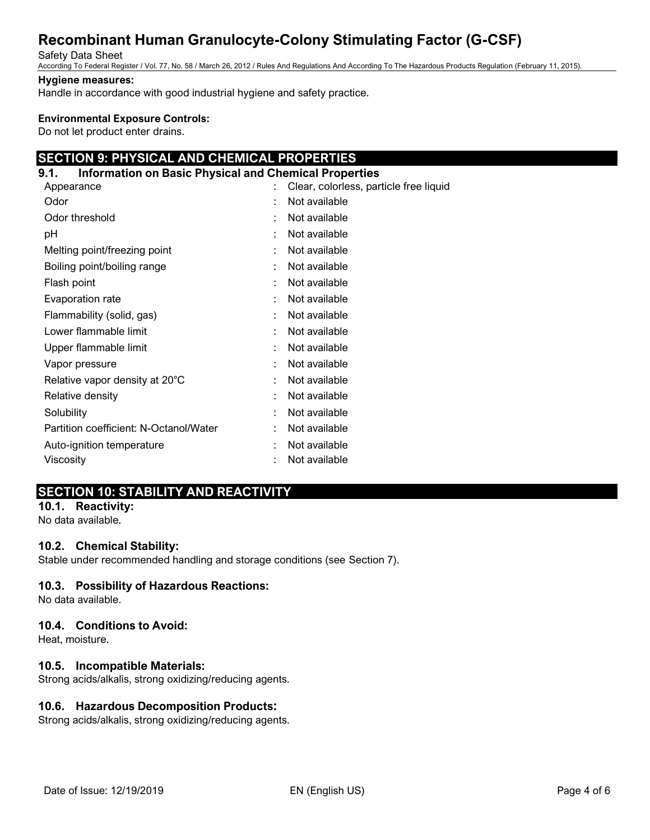#### Safety Data Sheet

According To Federal Register / Vol. 77, No. 58 / March 26, 2012 / Rules And Regulations And According To The Hazardous Products Regulation (February 11, 2015).

### **Hygiene measures:**

Handle in accordance with good industrial hygiene and safety practice.

### **Environmental Exposure Controls:**

Do not let product enter drains.

# **SECTION 9: PHYSICAL AND CHEMICAL PROPERTIES**

### **9.1. Information on Basic Physical and Chemical Properties**

| Appearance                             | t | Clear, colorless, particle free liquid |
|----------------------------------------|---|----------------------------------------|
| Odor                                   |   | Not available                          |
| Odor threshold                         |   | Not available                          |
| рH                                     |   | Not available                          |
| Melting point/freezing point           |   | Not available                          |
| Boiling point/boiling range            | ٠ | Not available                          |
| Flash point                            | ٠ | Not available                          |
| Evaporation rate                       | ٠ | Not available                          |
| Flammability (solid, gas)              | ÷ | Not available                          |
| Lower flammable limit                  | t | Not available                          |
| Upper flammable limit                  | ٠ | Not available                          |
| Vapor pressure                         | ٠ | Not available                          |
| Relative vapor density at 20°C         | ٠ | Not available                          |
| Relative density                       | t | Not available                          |
| Solubility                             | t | Not available                          |
| Partition coefficient: N-Octanol/Water |   | Not available                          |
| Auto-ignition temperature              |   | Not available                          |
| Viscosity                              |   | Not available                          |

# **SECTION 10: STABILITY AND REACTIVITY**

#### **10.1. Reactivity:** No data available.

# **10.2. Chemical Stability:**

Stable under recommended handling and storage conditions (see Section 7).

# **10.3. Possibility of Hazardous Reactions:**

No data available.

#### **10.4. Conditions to Avoid:**

Heat, moisture.

# **10.5. Incompatible Materials:**

Strong acids/alkalis, strong oxidizing/reducing agents.

# **10.6. Hazardous Decomposition Products:**

Strong acids/alkalis, strong oxidizing/reducing agents.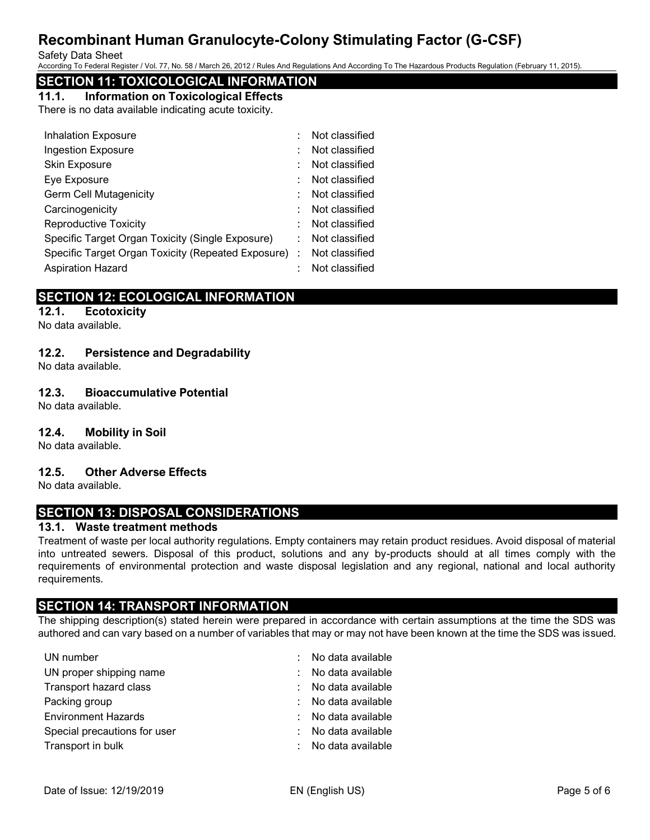Safety Data Sheet

According To Federal Register / Vol. 77, No. 58 / March 26, 2012 / Rules And Regulations And According To The Hazardous Products Regulation (February 11, 2015).

# **SECTION 11: TOXICOLOGICAL INFORMATION**

# **11.1. Information on Toxicological Effects**

There is no data available indicating acute toxicity.

| <b>Inhalation Exposure</b>                           | Not classified |
|------------------------------------------------------|----------------|
| <b>Ingestion Exposure</b>                            | Not classified |
| Skin Exposure                                        | Not classified |
| Eye Exposure                                         | Not classified |
| <b>Germ Cell Mutagenicity</b>                        | Not classified |
| Carcinogenicity                                      | Not classified |
| <b>Reproductive Toxicity</b>                         | Not classified |
| Specific Target Organ Toxicity (Single Exposure)     | Not classified |
| Specific Target Organ Toxicity (Repeated Exposure) : | Not classified |
| <b>Aspiration Hazard</b>                             | Not classified |

# **SECTION 12: ECOLOGICAL INFORMATION**

# **12.1. Ecotoxicity**

No data available.

# **12.2. Persistence and Degradability**

No data available.

# **12.3. Bioaccumulative Potential**

No data available.

# **12.4. Mobility in Soil**

No data available.

# **12.5. Other Adverse Effects**

No data available.

# **SECTION 13: DISPOSAL CONSIDERATIONS**

# **13.1. Waste treatment methods**

Treatment of waste per local authority regulations. Empty containers may retain product residues. Avoid disposal of material into untreated sewers. Disposal of this product, solutions and any by-products should at all times comply with the requirements of environmental protection and waste disposal legislation and any regional, national and local authority requirements.

# **SECTION 14: TRANSPORT INFORMATION**

The shipping description(s) stated herein were prepared in accordance with certain assumptions at the time the SDS was authored and can vary based on a number of variables that may or may not have been known at the time the SDS was issued.

| UN number                    | : No data available |
|------------------------------|---------------------|
| UN proper shipping name      | : No data available |
| Transport hazard class       | : No data available |
| Packing group                | : No data available |
| <b>Environment Hazards</b>   | : No data available |
| Special precautions for user | : No data available |
| Transport in bulk            | : No data available |
|                              |                     |